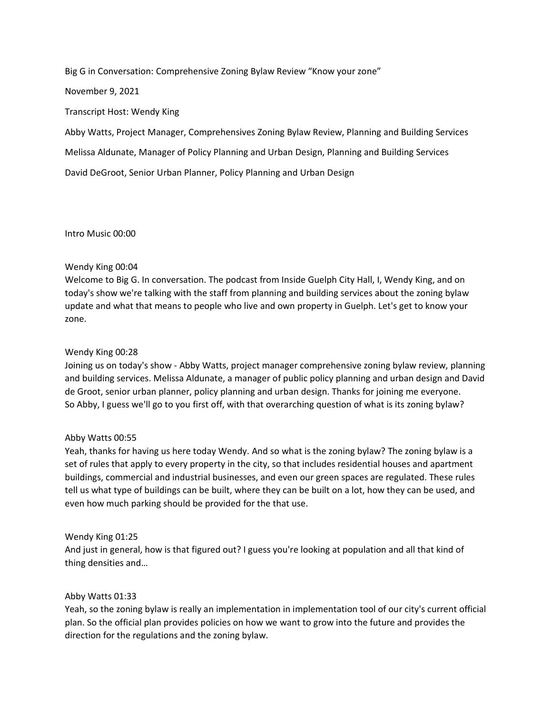Big G in Conversation: Comprehensive Zoning Bylaw Review "Know your zone"

November 9, 2021

Transcript Host: Wendy King

Abby Watts, Project Manager, Comprehensives Zoning Bylaw Review, Planning and Building Services

Melissa Aldunate, Manager of Policy Planning and Urban Design, Planning and Building Services

David DeGroot, Senior Urban Planner, Policy Planning and Urban Design

Intro Music 00:00

# Wendy King 00:04

Welcome to Big G. In conversation. The podcast from Inside Guelph City Hall, I, Wendy King, and on today's show we're talking with the staff from planning and building services about the zoning bylaw update and what that means to people who live and own property in Guelph. Let's get to know your zone.

#### Wendy King 00:28

Joining us on today's show - Abby Watts, project manager comprehensive zoning bylaw review, planning and building services. Melissa Aldunate, a manager of public policy planning and urban design and David de Groot, senior urban planner, policy planning and urban design. Thanks for joining me everyone. So Abby, I guess we'll go to you first off, with that overarching question of what is its zoning bylaw?

# Abby Watts 00:55

Yeah, thanks for having us here today Wendy. And so what is the zoning bylaw? The zoning bylaw is a set of rules that apply to every property in the city, so that includes residential houses and apartment buildings, commercial and industrial businesses, and even our green spaces are regulated. These rules tell us what type of buildings can be built, where they can be built on a lot, how they can be used, and even how much parking should be provided for the that use.

# Wendy King 01:25

And just in general, how is that figured out? I guess you're looking at population and all that kind of thing densities and…

# Abby Watts 01:33

Yeah, so the zoning bylaw is really an implementation in implementation tool of our city's current official plan. So the official plan provides policies on how we want to grow into the future and provides the direction for the regulations and the zoning bylaw.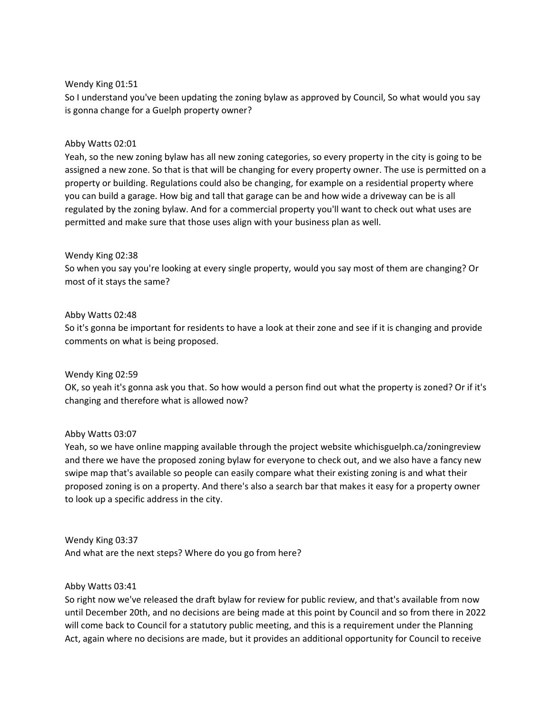#### Wendy King 01:51

So I understand you've been updating the zoning bylaw as approved by Council, So what would you say is gonna change for a Guelph property owner?

#### Abby Watts 02:01

Yeah, so the new zoning bylaw has all new zoning categories, so every property in the city is going to be assigned a new zone. So that is that will be changing for every property owner. The use is permitted on a property or building. Regulations could also be changing, for example on a residential property where you can build a garage. How big and tall that garage can be and how wide a driveway can be is all regulated by the zoning bylaw. And for a commercial property you'll want to check out what uses are permitted and make sure that those uses align with your business plan as well.

#### Wendy King 02:38

So when you say you're looking at every single property, would you say most of them are changing? Or most of it stays the same?

#### Abby Watts 02:48

So it's gonna be important for residents to have a look at their zone and see if it is changing and provide comments on what is being proposed.

#### Wendy King 02:59

OK, so yeah it's gonna ask you that. So how would a person find out what the property is zoned? Or if it's changing and therefore what is allowed now?

# Abby Watts 03:07

Yeah, so we have online mapping available through the project website whichisguelph.ca/zoningreview and there we have the proposed zoning bylaw for everyone to check out, and we also have a fancy new swipe map that's available so people can easily compare what their existing zoning is and what their proposed zoning is on a property. And there's also a search bar that makes it easy for a property owner to look up a specific address in the city.

Wendy King 03:37 And what are the next steps? Where do you go from here?

#### Abby Watts 03:41

So right now we've released the draft bylaw for review for public review, and that's available from now until December 20th, and no decisions are being made at this point by Council and so from there in 2022 will come back to Council for a statutory public meeting, and this is a requirement under the Planning Act, again where no decisions are made, but it provides an additional opportunity for Council to receive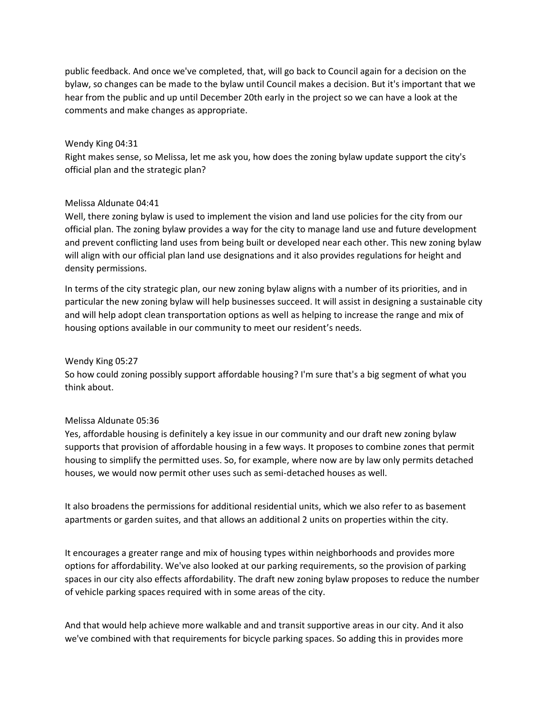public feedback. And once we've completed, that, will go back to Council again for a decision on the bylaw, so changes can be made to the bylaw until Council makes a decision. But it's important that we hear from the public and up until December 20th early in the project so we can have a look at the comments and make changes as appropriate.

#### Wendy King 04:31

Right makes sense, so Melissa, let me ask you, how does the zoning bylaw update support the city's official plan and the strategic plan?

#### Melissa Aldunate 04:41

Well, there zoning bylaw is used to implement the vision and land use policies for the city from our official plan. The zoning bylaw provides a way for the city to manage land use and future development and prevent conflicting land uses from being built or developed near each other. This new zoning bylaw will align with our official plan land use designations and it also provides regulations for height and density permissions.

In terms of the city strategic plan, our new zoning bylaw aligns with a number of its priorities, and in particular the new zoning bylaw will help businesses succeed. It will assist in designing a sustainable city and will help adopt clean transportation options as well as helping to increase the range and mix of housing options available in our community to meet our resident's needs.

### Wendy King 05:27

So how could zoning possibly support affordable housing? I'm sure that's a big segment of what you think about.

# Melissa Aldunate 05:36

Yes, affordable housing is definitely a key issue in our community and our draft new zoning bylaw supports that provision of affordable housing in a few ways. It proposes to combine zones that permit housing to simplify the permitted uses. So, for example, where now are by law only permits detached houses, we would now permit other uses such as semi-detached houses as well.

It also broadens the permissions for additional residential units, which we also refer to as basement apartments or garden suites, and that allows an additional 2 units on properties within the city.

It encourages a greater range and mix of housing types within neighborhoods and provides more options for affordability. We've also looked at our parking requirements, so the provision of parking spaces in our city also effects affordability. The draft new zoning bylaw proposes to reduce the number of vehicle parking spaces required with in some areas of the city.

And that would help achieve more walkable and and transit supportive areas in our city. And it also we've combined with that requirements for bicycle parking spaces. So adding this in provides more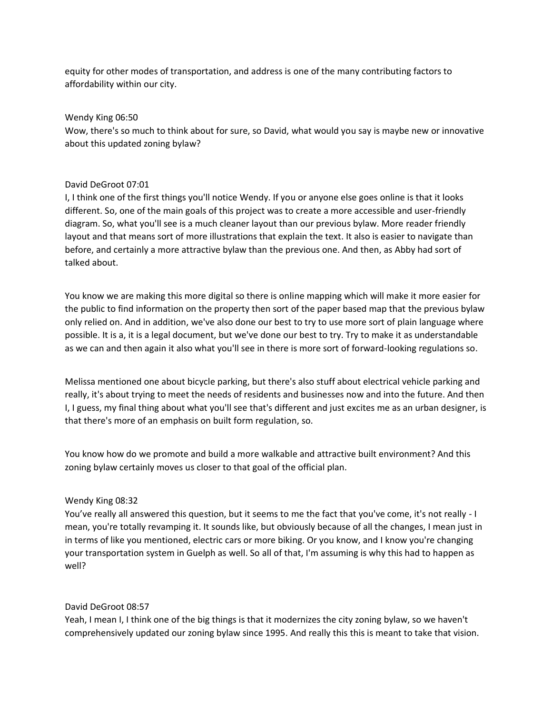equity for other modes of transportation, and address is one of the many contributing factors to affordability within our city.

#### Wendy King 06:50

Wow, there's so much to think about for sure, so David, what would you say is maybe new or innovative about this updated zoning bylaw?

# David DeGroot 07:01

I, I think one of the first things you'll notice Wendy. If you or anyone else goes online is that it looks different. So, one of the main goals of this project was to create a more accessible and user-friendly diagram. So, what you'll see is a much cleaner layout than our previous bylaw. More reader friendly layout and that means sort of more illustrations that explain the text. It also is easier to navigate than before, and certainly a more attractive bylaw than the previous one. And then, as Abby had sort of talked about.

You know we are making this more digital so there is online mapping which will make it more easier for the public to find information on the property then sort of the paper based map that the previous bylaw only relied on. And in addition, we've also done our best to try to use more sort of plain language where possible. It is a, it is a legal document, but we've done our best to try. Try to make it as understandable as we can and then again it also what you'll see in there is more sort of forward-looking regulations so.

Melissa mentioned one about bicycle parking, but there's also stuff about electrical vehicle parking and really, it's about trying to meet the needs of residents and businesses now and into the future. And then I, I guess, my final thing about what you'll see that's different and just excites me as an urban designer, is that there's more of an emphasis on built form regulation, so.

You know how do we promote and build a more walkable and attractive built environment? And this zoning bylaw certainly moves us closer to that goal of the official plan.

# Wendy King 08:32

You've really all answered this question, but it seems to me the fact that you've come, it's not really - I mean, you're totally revamping it. It sounds like, but obviously because of all the changes, I mean just in in terms of like you mentioned, electric cars or more biking. Or you know, and I know you're changing your transportation system in Guelph as well. So all of that, I'm assuming is why this had to happen as well?

# David DeGroot 08:57

Yeah, I mean I, I think one of the big things is that it modernizes the city zoning bylaw, so we haven't comprehensively updated our zoning bylaw since 1995. And really this this is meant to take that vision.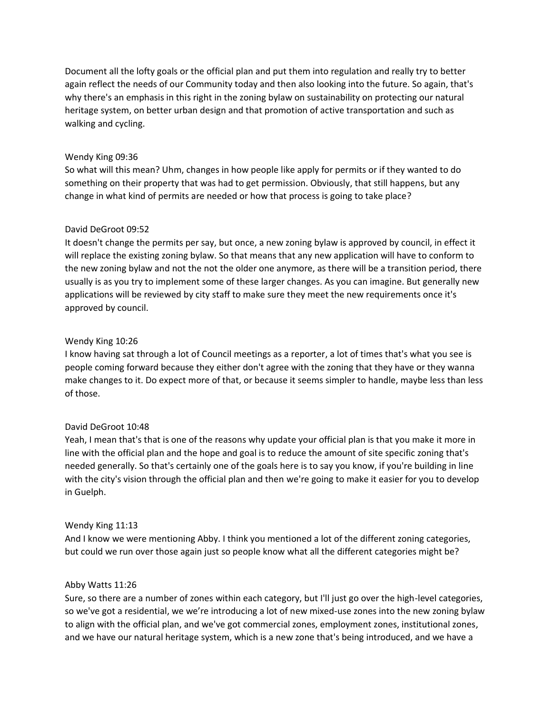Document all the lofty goals or the official plan and put them into regulation and really try to better again reflect the needs of our Community today and then also looking into the future. So again, that's why there's an emphasis in this right in the zoning bylaw on sustainability on protecting our natural heritage system, on better urban design and that promotion of active transportation and such as walking and cycling.

# Wendy King 09:36

So what will this mean? Uhm, changes in how people like apply for permits or if they wanted to do something on their property that was had to get permission. Obviously, that still happens, but any change in what kind of permits are needed or how that process is going to take place?

# David DeGroot 09:52

It doesn't change the permits per say, but once, a new zoning bylaw is approved by council, in effect it will replace the existing zoning bylaw. So that means that any new application will have to conform to the new zoning bylaw and not the not the older one anymore, as there will be a transition period, there usually is as you try to implement some of these larger changes. As you can imagine. But generally new applications will be reviewed by city staff to make sure they meet the new requirements once it's approved by council.

# Wendy King 10:26

I know having sat through a lot of Council meetings as a reporter, a lot of times that's what you see is people coming forward because they either don't agree with the zoning that they have or they wanna make changes to it. Do expect more of that, or because it seems simpler to handle, maybe less than less of those.

# David DeGroot 10:48

Yeah, I mean that's that is one of the reasons why update your official plan is that you make it more in line with the official plan and the hope and goal is to reduce the amount of site specific zoning that's needed generally. So that's certainly one of the goals here is to say you know, if you're building in line with the city's vision through the official plan and then we're going to make it easier for you to develop in Guelph.

# Wendy King 11:13

And I know we were mentioning Abby. I think you mentioned a lot of the different zoning categories, but could we run over those again just so people know what all the different categories might be?

# Abby Watts 11:26

Sure, so there are a number of zones within each category, but I'll just go over the high-level categories, so we've got a residential, we we're introducing a lot of new mixed-use zones into the new zoning bylaw to align with the official plan, and we've got commercial zones, employment zones, institutional zones, and we have our natural heritage system, which is a new zone that's being introduced, and we have a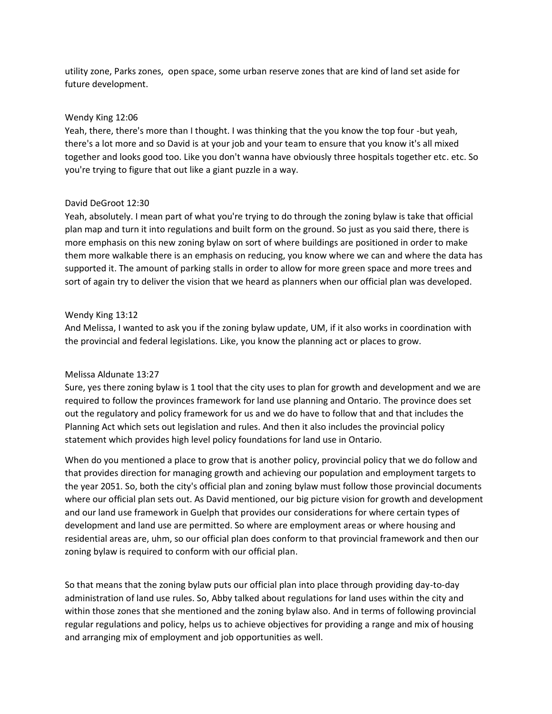utility zone, Parks zones, open space, some urban reserve zones that are kind of land set aside for future development.

#### Wendy King 12:06

Yeah, there, there's more than I thought. I was thinking that the you know the top four -but yeah, there's a lot more and so David is at your job and your team to ensure that you know it's all mixed together and looks good too. Like you don't wanna have obviously three hospitals together etc. etc. So you're trying to figure that out like a giant puzzle in a way.

# David DeGroot 12:30

Yeah, absolutely. I mean part of what you're trying to do through the zoning bylaw is take that official plan map and turn it into regulations and built form on the ground. So just as you said there, there is more emphasis on this new zoning bylaw on sort of where buildings are positioned in order to make them more walkable there is an emphasis on reducing, you know where we can and where the data has supported it. The amount of parking stalls in order to allow for more green space and more trees and sort of again try to deliver the vision that we heard as planners when our official plan was developed.

#### Wendy King 13:12

And Melissa, I wanted to ask you if the zoning bylaw update, UM, if it also works in coordination with the provincial and federal legislations. Like, you know the planning act or places to grow.

# Melissa Aldunate 13:27

Sure, yes there zoning bylaw is 1 tool that the city uses to plan for growth and development and we are required to follow the provinces framework for land use planning and Ontario. The province does set out the regulatory and policy framework for us and we do have to follow that and that includes the Planning Act which sets out legislation and rules. And then it also includes the provincial policy statement which provides high level policy foundations for land use in Ontario.

When do you mentioned a place to grow that is another policy, provincial policy that we do follow and that provides direction for managing growth and achieving our population and employment targets to the year 2051. So, both the city's official plan and zoning bylaw must follow those provincial documents where our official plan sets out. As David mentioned, our big picture vision for growth and development and our land use framework in Guelph that provides our considerations for where certain types of development and land use are permitted. So where are employment areas or where housing and residential areas are, uhm, so our official plan does conform to that provincial framework and then our zoning bylaw is required to conform with our official plan.

So that means that the zoning bylaw puts our official plan into place through providing day-to-day administration of land use rules. So, Abby talked about regulations for land uses within the city and within those zones that she mentioned and the zoning bylaw also. And in terms of following provincial regular regulations and policy, helps us to achieve objectives for providing a range and mix of housing and arranging mix of employment and job opportunities as well.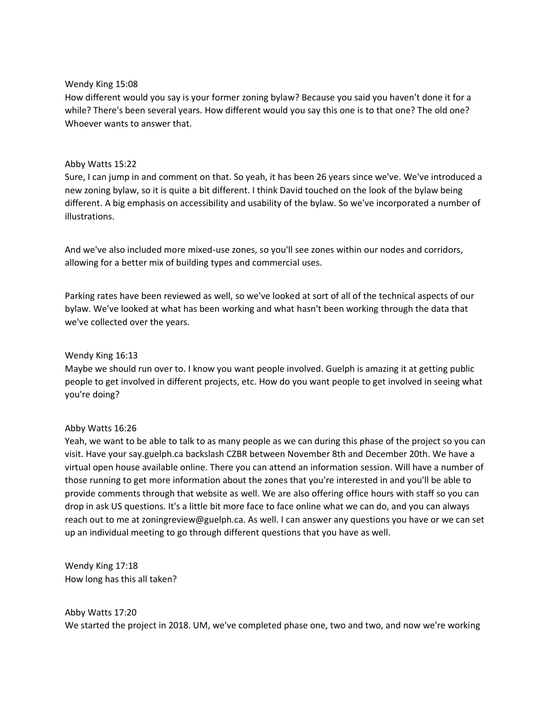#### Wendy King 15:08

How different would you say is your former zoning bylaw? Because you said you haven't done it for a while? There's been several years. How different would you say this one is to that one? The old one? Whoever wants to answer that.

#### Abby Watts 15:22

Sure, I can jump in and comment on that. So yeah, it has been 26 years since we've. We've introduced a new zoning bylaw, so it is quite a bit different. I think David touched on the look of the bylaw being different. A big emphasis on accessibility and usability of the bylaw. So we've incorporated a number of illustrations.

And we've also included more mixed-use zones, so you'll see zones within our nodes and corridors, allowing for a better mix of building types and commercial uses.

Parking rates have been reviewed as well, so we've looked at sort of all of the technical aspects of our bylaw. We've looked at what has been working and what hasn't been working through the data that we've collected over the years.

### Wendy King 16:13

Maybe we should run over to. I know you want people involved. Guelph is amazing it at getting public people to get involved in different projects, etc. How do you want people to get involved in seeing what you're doing?

# Abby Watts 16:26

Yeah, we want to be able to talk to as many people as we can during this phase of the project so you can visit. Have your say.guelph.ca backslash CZBR between November 8th and December 20th. We have a virtual open house available online. There you can attend an information session. Will have a number of those running to get more information about the zones that you're interested in and you'll be able to provide comments through that website as well. We are also offering office hours with staff so you can drop in ask US questions. It's a little bit more face to face online what we can do, and you can always reach out to me at zoningreview@guelph.ca. As well. I can answer any questions you have or we can set up an individual meeting to go through different questions that you have as well.

Wendy King 17:18 How long has this all taken?

Abby Watts 17:20 We started the project in 2018. UM, we've completed phase one, two and two, and now we're working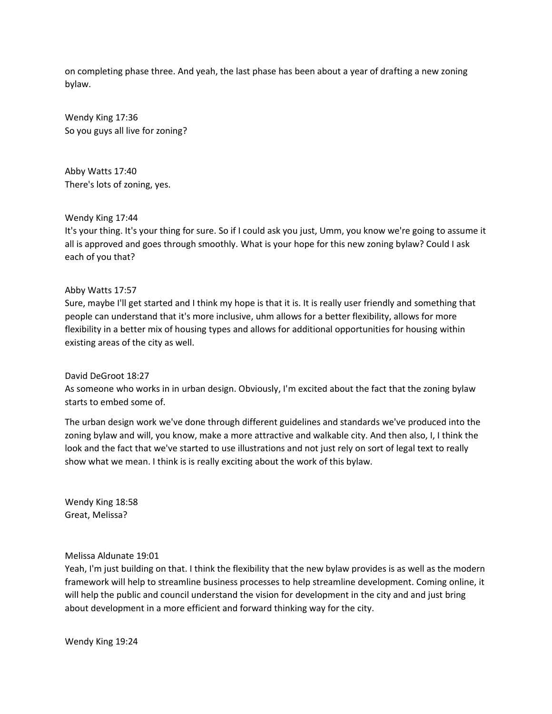on completing phase three. And yeah, the last phase has been about a year of drafting a new zoning bylaw.

Wendy King 17:36 So you guys all live for zoning?

Abby Watts 17:40 There's lots of zoning, yes.

Wendy King 17:44

It's your thing. It's your thing for sure. So if I could ask you just, Umm, you know we're going to assume it all is approved and goes through smoothly. What is your hope for this new zoning bylaw? Could I ask each of you that?

#### Abby Watts 17:57

Sure, maybe I'll get started and I think my hope is that it is. It is really user friendly and something that people can understand that it's more inclusive, uhm allows for a better flexibility, allows for more flexibility in a better mix of housing types and allows for additional opportunities for housing within existing areas of the city as well.

#### David DeGroot 18:27

As someone who works in in urban design. Obviously, I'm excited about the fact that the zoning bylaw starts to embed some of.

The urban design work we've done through different guidelines and standards we've produced into the zoning bylaw and will, you know, make a more attractive and walkable city. And then also, I, I think the look and the fact that we've started to use illustrations and not just rely on sort of legal text to really show what we mean. I think is is really exciting about the work of this bylaw.

Wendy King 18:58 Great, Melissa?

#### Melissa Aldunate 19:01

Yeah, I'm just building on that. I think the flexibility that the new bylaw provides is as well as the modern framework will help to streamline business processes to help streamline development. Coming online, it will help the public and council understand the vision for development in the city and and just bring about development in a more efficient and forward thinking way for the city.

Wendy King 19:24